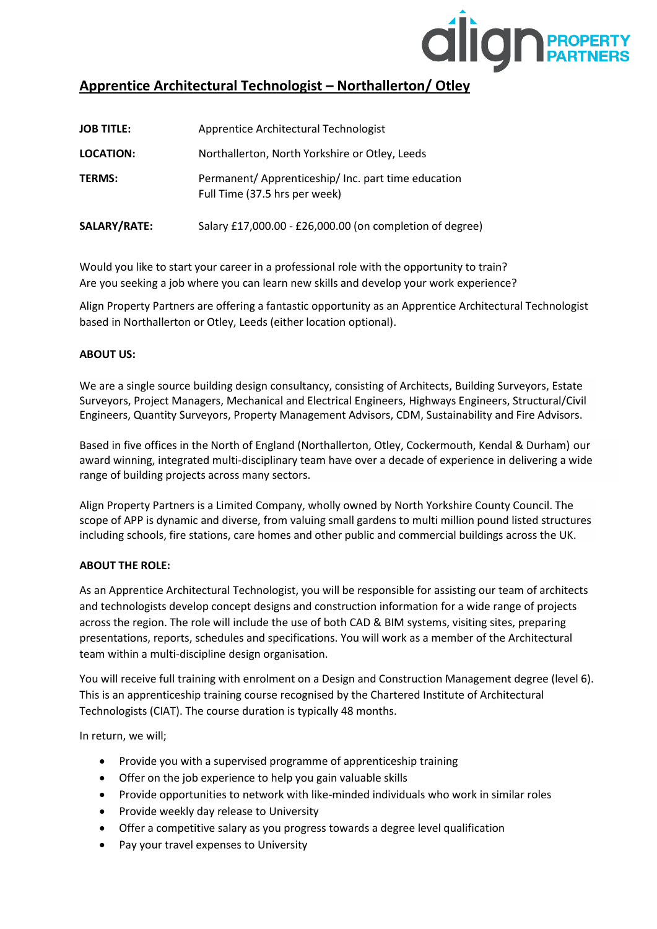

# **Apprentice Architectural Technologist – Northallerton/ Otley**

| <b>JOB TITLE:</b> | Apprentice Architectural Technologist                                                |
|-------------------|--------------------------------------------------------------------------------------|
| <b>LOCATION:</b>  | Northallerton, North Yorkshire or Otley, Leeds                                       |
| <b>TERMS:</b>     | Permanent/ Apprenticeship/ Inc. part time education<br>Full Time (37.5 hrs per week) |
| SALARY/RATE:      | Salary £17,000.00 - £26,000.00 (on completion of degree)                             |

Would you like to start your career in a professional role with the opportunity to train? Are you seeking a job where you can learn new skills and develop your work experience?

Align Property Partners are offering a fantastic opportunity as an Apprentice Architectural Technologist based in Northallerton or Otley, Leeds (either location optional).

# **ABOUT US:**

We are a single source building design consultancy, consisting of Architects, Building Surveyors, Estate Surveyors, Project Managers, Mechanical and Electrical Engineers, Highways Engineers, Structural/Civil Engineers, Quantity Surveyors, Property Management Advisors, CDM, Sustainability and Fire Advisors.

Based in five offices in the North of England (Northallerton, Otley, Cockermouth, Kendal & Durham) our award winning, integrated multi-disciplinary team have over a decade of experience in delivering a wide range of building projects across many sectors.

Align Property Partners is a Limited Company, wholly owned by North Yorkshire County Council. The scope of APP is dynamic and diverse, from valuing small gardens to multi million pound listed structures including schools, fire stations, care homes and other public and commercial buildings across the UK.

## **ABOUT THE ROLE:**

As an Apprentice Architectural Technologist, you will be responsible for assisting our team of architects and technologists develop concept designs and construction information for a wide range of projects across the region. The role will include the use of both CAD & BIM systems, visiting sites, preparing presentations, reports, schedules and specifications. You will work as a member of the Architectural team within a multi-discipline design organisation.

You will receive full training with enrolment on a Design and Construction Management degree (level 6). This is an apprenticeship training course recognised by the Chartered Institute of Architectural Technologists (CIAT). The course duration is typically 48 months.

In return, we will;

- Provide you with a supervised programme of apprenticeship training
- Offer on the job experience to help you gain valuable skills
- Provide opportunities to network with like-minded individuals who work in similar roles
- Provide weekly day release to University
- Offer a competitive salary as you progress towards a degree level qualification
- Pay your travel expenses to University